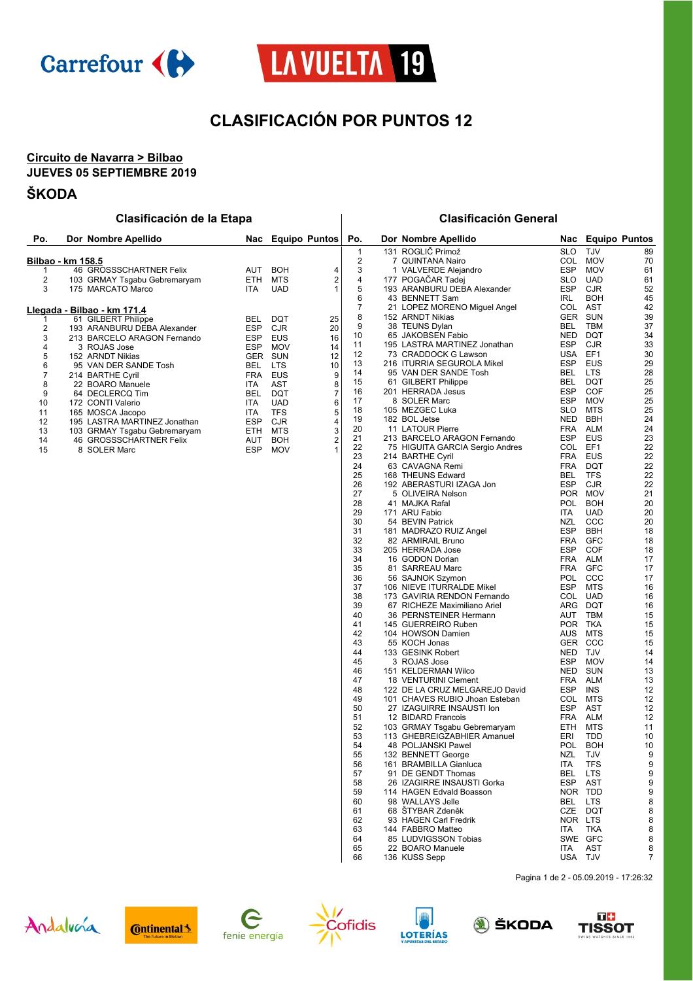



## **CLASIFICACIÓN POR PUNTOS 12**

#### **Circuito de Navarra > Bilbao JUEVES 05 SEPTIEMBRE 2019**

### **ŠKODA**

| Po.                 | Dor Nombre Apellido                               |            |            | Nac Equipo Puntos | Po.                 | Dor Nombre Apellido                                 | Nac                      | <b>Equipo Puntos</b>     |          |
|---------------------|---------------------------------------------------|------------|------------|-------------------|---------------------|-----------------------------------------------------|--------------------------|--------------------------|----------|
|                     |                                                   |            |            |                   |                     | 131 ROGLIČ Primož                                   |                          |                          |          |
|                     |                                                   |            |            |                   | 1<br>$\overline{2}$ | 7 QUINTANA Nairo                                    | <b>SLO</b><br>COL        | <b>TJV</b><br><b>MOV</b> | 89<br>70 |
|                     | Bilbao - km 158.5<br>46 GROSSSCHARTNER Felix      | <b>AUT</b> | <b>BOH</b> |                   |                     |                                                     | <b>ESP</b>               | <b>MOV</b>               | 61       |
|                     |                                                   | <b>ETH</b> | <b>MTS</b> | 4<br>2            | 3<br>$\overline{4}$ | 1 VALVERDE Alejandro<br>177 POGAČAR Tadei           | <b>SLO</b>               | <b>UAD</b>               | 61       |
| $\overline{2}$<br>3 | 103 GRMAY Tsgabu Gebremaryam<br>175 MARCATO Marco | <b>ITA</b> | <b>UAD</b> |                   | 5                   | 193 ARANBURU DEBA Alexander                         | <b>ESP</b>               | <b>CJR</b>               | 52       |
|                     |                                                   |            |            |                   | 6                   | 43 BENNETT Sam                                      | <b>IRL</b>               | <b>BOH</b>               | 45       |
|                     |                                                   |            |            |                   | 7                   |                                                     | COL                      | <b>AST</b>               | 42       |
|                     | Llegada - Bilbao - km 171.4                       |            |            |                   | 8                   | 21 LOPEZ MORENO Miguel Angel<br>152 ARNDT Nikias    | <b>GER</b>               | <b>SUN</b>               | 39       |
|                     | 61 GILBERT Philippe                               | <b>BEL</b> | <b>DQT</b> | 25                |                     |                                                     | <b>BEL</b>               | <b>TBM</b>               | 37       |
| 2                   | 193 ARANBURU DEBA Alexander                       | <b>ESP</b> | <b>CJR</b> | 20                | 9<br>10             | 38 TEUNS Dylan<br>65 JAKOBSEN Fabio                 | <b>NED</b>               | <b>DQT</b>               |          |
| 3                   | 213 BARCELO ARAGON Fernando                       | <b>ESP</b> | <b>EUS</b> | 16                | 11                  | 195 LASTRA MARTINEZ Jonathan                        | <b>ESP</b>               | <b>CJR</b>               | 34<br>33 |
| 4                   | 3 ROJAS Jose                                      | <b>ESP</b> | <b>MOV</b> | 14                |                     | 73 CRADDOCK G Lawson                                | <b>USA</b>               | EF1                      |          |
| 5                   | 152 ARNDT Nikias                                  | <b>GER</b> | <b>SUN</b> | 12                | 12<br>13            | 216 ITURRIA SEGUROLA Mikel                          | <b>ESP</b>               | <b>EUS</b>               | 30       |
| 6                   | 95 VAN DER SANDE Tosh                             | <b>BEL</b> | <b>LTS</b> | 10                | 14                  | 95 VAN DER SANDE Tosh                               | <b>BEL</b>               | <b>LTS</b>               | 29<br>28 |
| $\overline{7}$      | 214 BARTHE Cyril                                  | <b>FRA</b> | EUS        | 9                 |                     |                                                     |                          | <b>DQT</b>               |          |
| 8                   | 22 BOARO Manuele                                  | <b>ITA</b> | <b>AST</b> | 8                 | 15<br>16            | 61 GILBERT Philippe                                 | <b>BEL</b><br><b>ESP</b> | COF                      | 25       |
| 9                   | 64 DECLERCQ Tim                                   | <b>BEL</b> | <b>DQT</b> | 7                 | 17                  | 201 HERRADA Jesus<br>8 SOLER Marc                   | <b>ESP</b>               | <b>MOV</b>               | 25<br>25 |
| 10                  | 172 CONTI Valerio                                 | <b>ITA</b> | <b>UAD</b> | 6                 |                     |                                                     |                          |                          |          |
| 11                  | 165 MOSCA Jacopo                                  | <b>ITA</b> | <b>TFS</b> | 5                 | 18                  | 105 MEZGEC Luka<br>182 BOL Jetse                    | <b>SLO</b><br><b>NED</b> | <b>MTS</b><br><b>BBH</b> | 25<br>24 |
| 12                  | 195 LASTRA MARTINEZ Jonathan                      | <b>ESP</b> | <b>CJR</b> | 4                 | 19<br>20            | 11 LATOUR Pierre                                    | <b>FRA</b>               | <b>ALM</b>               | 24       |
| 13                  | 103 GRMAY Tsgabu Gebremaryam                      | <b>ETH</b> | <b>MTS</b> | 3                 | 21                  | 213 BARCELO ARAGON Fernando                         | <b>ESP</b>               | <b>EUS</b>               |          |
| 14                  | 46 GROSSSCHARTNER Felix                           | AUT        | <b>BOH</b> | $\overline{2}$    |                     |                                                     | COL                      | EF1                      | 23       |
| 15                  | 8 SOLER Marc                                      | <b>ESP</b> | <b>MOV</b> |                   | 22<br>23            | 75 HIGUITA GARCIA Sergio Andres<br>214 BARTHE Cyril | <b>FRA</b>               | <b>EUS</b>               | 22<br>22 |
|                     |                                                   |            |            |                   | 24                  | 63 CAVAGNA Remi                                     | <b>FRA</b>               | <b>DQT</b>               |          |
|                     |                                                   |            |            |                   | 25                  | 168 THEUNS Edward                                   | <b>BEL</b>               | <b>TFS</b>               | 22<br>22 |
|                     |                                                   |            |            |                   | 26                  | 192 ABERASTURI IZAGA Jon                            | <b>ESP</b>               | <b>CJR</b>               | 22       |
|                     |                                                   |            |            |                   | 27                  | 5 OLIVEIRA Nelson                                   | <b>POR</b>               | <b>MOV</b>               | 21       |
|                     |                                                   |            |            |                   | 28                  |                                                     |                          | <b>BOH</b>               | 20       |
|                     |                                                   |            |            |                   | 29                  | 41 MAJKA Rafal                                      | <b>POL</b>               | <b>UAD</b>               |          |
|                     |                                                   |            |            |                   |                     | 171 ARU Fabio                                       | <b>ITA</b>               | CCC                      | 20       |
|                     |                                                   |            |            |                   | 30                  | 54 BEVIN Patrick                                    | <b>NZL</b>               |                          | 20       |
|                     |                                                   |            |            |                   | 31<br>32            | 181 MADRAZO RUIZ Angel                              | <b>ESP</b>               | <b>BBH</b><br>GFC        | 18       |
|                     |                                                   |            |            |                   |                     | 82 ARMIRAIL Bruno                                   | <b>FRA</b>               |                          | 18       |
|                     |                                                   |            |            |                   | 33                  | 205 HERRADA Jose                                    | <b>ESP</b>               | COF                      | 18       |
|                     |                                                   |            |            |                   | 34                  | 16 GODON Dorian                                     | <b>FRA</b>               | <b>ALM</b>               | 17       |

### **Clasificación de la Etapa Clasificación General**

Pagina 1 de 2 - 05.09.2019 - 17:26:32











136 KUSS Sepp



35 81 SARREAU Marc **FRA GFC** 17<br>36 56 SAJNOK Szymon **FOL CCC** 17 56 SAJNOK Szymon POL CCC 17 106 NIEVE ITURRALDE Mikel ESP MTS 16 173 GAVIRIA RENDON Fernando COL UAD 16 39 67 RICHEZE Maximiliano Ariel **ARG DQT** 16<br>40 36 PERNSTEINER Hermann **ARG DQT** 16 36 PERNSTEINER Hermann AUT TBM 15 145 GUERREIRO Ruben POR TKA 15 42 104 HOWSON Damien AUS MTS 15<br>43 55 KOCH Jonas 6ER CCC 15 43 55 KOCH Jonas GER CCC 15<br>133 GESINK Robert GER COLL NED T.IV 14 44 133 GESINK Robert 14<br>45 3 ROJAS Jose 14 14 ESP MOV 14 3 ROJAS Jose ESP MOV 14 46 151 KELDERMAN Wilco **NED SUN** 13<br>47 18 VENTURINI Clement 15 12 RRA ALM 13 47 18 VENTURINI Clement FRA ALM 13<br>48 122 DE LA CRUZ MELGAREJO David ESP INS 12 48 122 DE LA CRUZ MELGAREJO David ESP INS 12<br>49 101 CHAVES RUBIO Jhoan Esteban COL MTS 12 49 101 CHAVES RUBIO Jhoan Esteban COL MTS 12<br>50 27 IZAGUIRRE INSAUSTI Ion ESP AST 12 27 IZAGUIRRE INSAUSTI Ion ESP AST 12

51 12 BIDARD Francois<br>52 103 GRMAY Tsgabu Gebremaryam FTH MTS

26 IZAGIRRE INSAUSTI Gorka ESP AST 9

 103 GRMAY Tsgabu Gebremaryam ETH MTS 11 113 GHEBREIGZABHIER Amanuel ERI TDD 10 54 48 POLJANSKI Pawel POL BOH 10<br>55 132 BENNETT George 132 RENNETT RESPONDENT AND POL BOH 10 132 BENNETT George NZL TJV 9 161 BRAMBILLA Gianluca ITA TFS 9 91 DE GENDT Thomas BEL LTS 9

 114 HAGEN Edvald Boasson NOR TDD 9 60 98 WALLAYS Jelle BEL LTS 8<br>61 68 ŠTYBAR Zdeněk – BEL LTS 8<br>61 68 ŠTYBAR Zdeněk – CZE DQT 8 68 ŠTYBAR Zdeněk CZE DQT 8 62 93 HAGEN Carl Fredrik NOR LTS 8<br>63 144 FABBRO Matteo 17A TKA 8 144 FABBRO Matteo ITA TKA 8 85 LUDVIGSSON Tobias SWE GFC 8 22 BOARO Manuele ITA AST 8